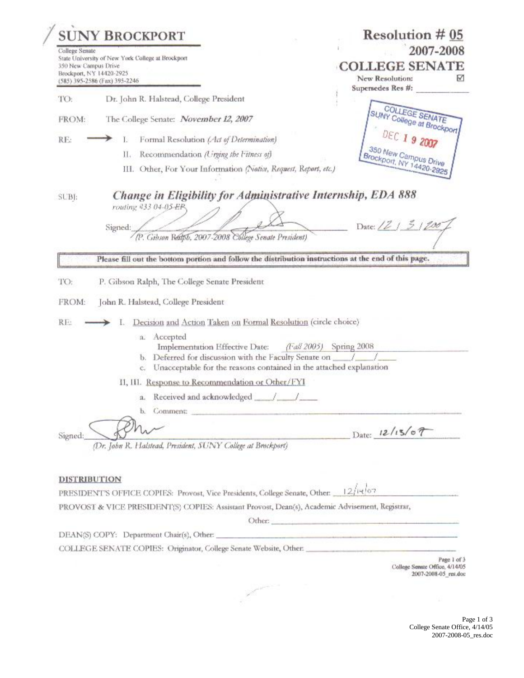| <b>SUNY BROCKPORT</b><br>College Senate<br>State University of New York College at Brockport<br>350 New Campus Drive<br>Brockport, NY 14420-2925<br>(585) 395-2586 (Fax) 395-2246 |                                                                                                                                                                                                                               | Resolution $\#05$<br>2007-2008<br><b>COLLEGE SENATE</b><br>New Resolution:<br>M |  |
|-----------------------------------------------------------------------------------------------------------------------------------------------------------------------------------|-------------------------------------------------------------------------------------------------------------------------------------------------------------------------------------------------------------------------------|---------------------------------------------------------------------------------|--|
| TO:                                                                                                                                                                               | Dr. John R. Halstead, College President                                                                                                                                                                                       | Supersedes Res #:                                                               |  |
| FROM:                                                                                                                                                                             | The College Senate: November 12, 2007                                                                                                                                                                                         | SUNY College at Brockport                                                       |  |
|                                                                                                                                                                                   |                                                                                                                                                                                                                               | DEC 19 2007                                                                     |  |
| RE:                                                                                                                                                                               | Formal Resolution (Act of Determination)<br>Ь                                                                                                                                                                                 |                                                                                 |  |
|                                                                                                                                                                                   | Recommendation (Urging the Fitness of)<br>П.<br>III. Other, For Your Information (Notice, Request, Report, etc.)                                                                                                              | 350 New Campus Drive<br>Brockport, NY 14420-2925                                |  |
| SUBJ:                                                                                                                                                                             | Change in Eligibility for Administrative Internship, EDA 888<br>routing #33 04-05-EP.<br>Signed:<br>(P. Gibson Realph, 2007-2008 College Senate President)                                                                    | Date: $(2/5)/20$                                                                |  |
|                                                                                                                                                                                   | Please fill out the bottom portion and follow the distribution instructions at the end of this page.<br>P. Gibson Ralph, The College Senate President                                                                         |                                                                                 |  |
|                                                                                                                                                                                   | John R. Halstead, College President<br>Decision and Action Taken on Formal Resolution (circle choice)                                                                                                                         |                                                                                 |  |
|                                                                                                                                                                                   | a. Accepted<br>Implementation Effective Date:<br>$(1/a)$ 2005)<br>b. Deferred for discussion with the Faculty Senate on ___/                                                                                                  | Spring 2008                                                                     |  |
|                                                                                                                                                                                   | Unacceptable for the reasons contained in the attached explanation<br>C.<br>II, III. Response to Recommendation or Other/FYI                                                                                                  |                                                                                 |  |
| TO:<br>FROM:<br>RE:                                                                                                                                                               |                                                                                                                                                                                                                               |                                                                                 |  |
|                                                                                                                                                                                   | b. Comment: the comment of the comment of the comment of the comment of the comment of the comment of the comment of the comment of the comment of the comment of the comment of the comment of the comment of the comment of |                                                                                 |  |
|                                                                                                                                                                                   |                                                                                                                                                                                                                               |                                                                                 |  |
| Signed:<br><b>DISTRIBUTION</b>                                                                                                                                                    | (Dr. John R. Halstead, President, SUNY College at Brockport)                                                                                                                                                                  | $_{\text{Date:}}$ 12/13/07                                                      |  |
|                                                                                                                                                                                   | PRESIDENT'S OFFICE COPIES: Provost, Vice Presidents, College Senate, Other: 12/14/07<br>PROVOST & VICE PRESIDENT(S) COPIES: Assistant Provost, Dean(s), Academic Advisement, Registrar,                                       |                                                                                 |  |

 $\label{eq:2.1} \rho^{(1)} \equiv \frac{1}{\sqrt{2}} \int_{0}^{\rho^{(1)} \times \rho^{(2)} \times \rho^{(1)}} \frac{d\mathbf{x}}{d\mathbf{x}} d\mathbf{x}$ 

 $\mathcal{L}$ 

COLLEGE SENATE COPIES: Originator, College Senate Website, Other:

 $\begin{array}{c} \text{Page 1 of 3} \\ \text{Collect Senate Office}, \text{$4/14/05$} \\ \text{2007-2008-05\_res.doc} \end{array}$ 

Page 1 of 3 College Senate Office, 4/14/05 2007-2008-05\_res.doc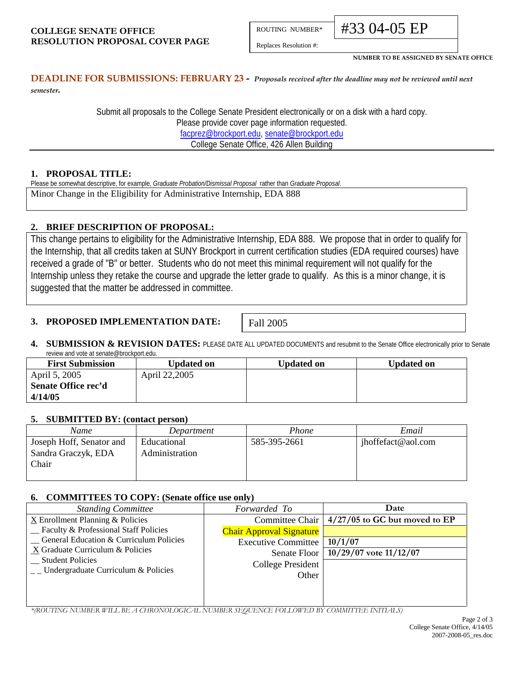ROUTING NUMBER\*

Replaces Resolution #:

#33 04-05 EP

**NUMBER TO BE ASSIGNED BY SENATE OFFICE**

# **DEADLINE FOR SUBMISSIONS: FEBRUARY 23** *- Proposals received after the deadline may not be reviewed until next*

*semester.*

Submit all proposals to the College Senate President electronically or on a disk with a hard copy. Please provide cover page information requested. [facprez@brockport.edu,](mailto:facprez@brockport.edu) [senate@brockport.edu](mailto:fsenate@brockport.edu) College Senate Office, 426 Allen Building

## **1. PROPOSAL TITLE:**

Please be somewhat descriptive, for example, *Graduate Probation/Dismissal Proposal* rather than *Graduate Proposal*.

Minor Change in the Eligibility for Administrative Internship, EDA 888

## **2. BRIEF DESCRIPTION OF PROPOSAL:**

This change pertains to eligibility for the Administrative Internship, EDA 888. We propose that in order to qualify for the Internship, that all credits taken at SUNY Brockport in current certification studies (EDA required courses) have received a grade of "B" or better. Students who do not meet this minimal requirement will not qualify for the Internship unless they retake the course and upgrade the letter grade to qualify. As this is a minor change, it is suggested that the matter be addressed in committee.

#### **3. PROPOSED IMPLEMENTATION DATE:**

Fall 2005

**4. SUBMISSION & REVISION DATES:** PLEASE DATE ALL UPDATED DOCUMENTS and resubmit to the Senate Office electronically prior to Senate review and vote at senate@brockport.edu.

| <b>First Submission</b> | Updated on    | <b>Updated on</b> | <b>Updated on</b> |
|-------------------------|---------------|-------------------|-------------------|
| April 5, 2005           | April 22,2005 |                   |                   |
| Senate Office rec'd     |               |                   |                   |
| 4/14/05                 |               |                   |                   |

#### **5. SUBMITTED BY: (contact person)**

| Name                     | Department     | Phone        | Email              |
|--------------------------|----------------|--------------|--------------------|
| Joseph Hoff, Senator and | Educational    | 585-395-2661 | jhoffefact@aol.com |
| Sandra Graczyk, EDA      | Administration |              |                    |
| Chair                    |                |              |                    |
|                          |                |              |                    |

#### **6. COMMITTEES TO COPY: (Senate office use only)**

| Forwarded To                      | Date                            |
|-----------------------------------|---------------------------------|
| Committee Chair                   | $4/27/05$ to GC but moved to EP |
| <b>Chair Approval Signature</b>   |                                 |
| <b>Executive Committee</b>        | 10/1/07                         |
| Senate Floor                      | $10/29/07$ vote $11/12/07$      |
| <b>College President</b><br>Other |                                 |
|                                   |                                 |
|                                   |                                 |
|                                   |                                 |
|                                   |                                 |

*\*(ROUTING NUMBER WILL BE A CHRONOLOGICAL NUMBER SEQUENCE FOLLOWED BY COMMITTEE INITIALS)*